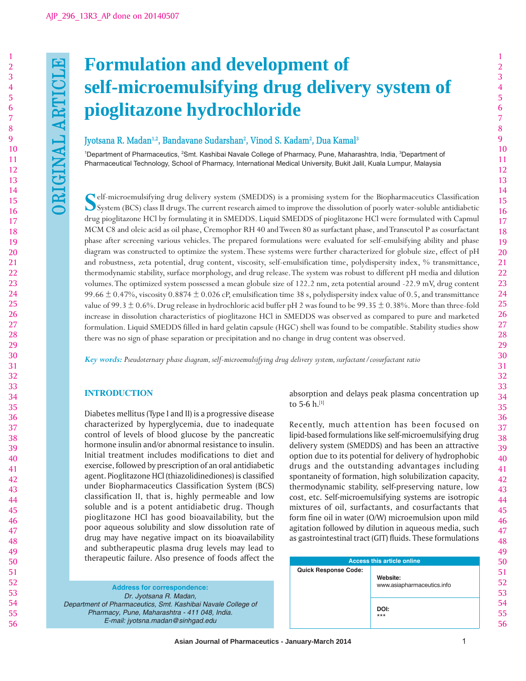**DRIGINAL ARTICLE ORIGINAL ARTICLE**

# **Formulation and development of self-microemulsifying drug delivery system of pioglitazone hydrochloride**

# **Jyotsana R. Madan1,2, Bandavane Sudarshan2 , Vinod S. Kadam2 , Dua Kamal3**

<sup>1</sup>Department of Pharmaceutics, <sup>2</sup>Smt. Kashibai Navale College of Pharmacy, Pune, Maharashtra, India, <sup>3</sup>Department of Pharmaceutical Technology, School of Pharmacy, International Medical University, Bukit Jalil, Kuala Lumpur, Malaysia

**S**elf-microemulsifying drug delivery system (SMEDDS) is a promising system for the Biopharmaceutics Classification System (BCS) class II drugs. The current research aimed to improve the dissolution of poorly water-soluble antidiabetic drug pioglitazone HCl by formulating it in SMEDDS. Liquid SMEDDS of pioglitazone HCl were formulated with Capmul MCM C8 and oleic acid as oil phase, Cremophor RH 40 and Tween 80 as surfactant phase, and Transcutol P as cosurfactant phase after screening various vehicles. The prepared formulations were evaluated for self-emulsifying ability and phase diagram was constructed to optimize the system. These systems were further characterized for globule size, effect of pH and robustness, zeta potential, drug content, viscosity, self-emulsification time, polydispersity index, % transmittance, thermodynamic stability, surface morphology, and drug release. The system was robust to different pH media and dilution volumes. The optimized system possessed a mean globule size of 122.2 nm, zeta potential around -22.9 mV, drug content 99.66  $\pm$  0.47%, viscosity 0.8874  $\pm$  0.026 cP, emulsification time 38 s, polydispersity index value of 0.5, and transmittance value of 99.3  $\pm$  0.6%. Drug release in hydrochloric acid buffer pH 2 was found to be 99.35  $\pm$  0.38%. More than three-fold increase in dissolution characteristics of pioglitazone HCl in SMEDDS was observed as compared to pure and marketed formulation. Liquid SMEDDS filled in hard gelatin capsule (HGC) shell was found to be compatible. Stability studies show there was no sign of phase separation or precipitation and no change in drug content was observed.

*Key words: Pseudoternary phase diagram, self-microemulsifying drug delivery system, surfactant/cosurfactant ratio*

## **INTRODUCTION**

Diabetes mellitus (Type I and II) is a progressive disease characterized by hyperglycemia, due to inadequate control of levels of blood glucose by the pancreatic hormone insulin and/or abnormal resistance to insulin. Initial treatment includes modifications to diet and exercise, followed by prescription of an oral antidiabetic agent. Pioglitazone HCl (thiazolidinediones) is classified under Biopharmaceutics Classification System (BCS) classification II, that is, highly permeable and low soluble and is a potent antidiabetic drug. Though pioglitazone HCl has good bioavailability, but the poor aqueous solubility and slow dissolution rate of drug may have negative impact on its bioavailability and subtherapeutic plasma drug levels may lead to therapeutic failure. Also presence of foods affect the

**Address for correspondence:** *Dr. Jyotsana R. Madan, Department of Pharmaceutics, Smt. Kashibai Navale College of Pharmacy, Pune, Maharashtra - 411 048, India. E-mail: jyotsna.madan@sinhgad.edu*

absorption and delays peak plasma concentration up to 5-6  $h^{[1]}$ 

Recently, much attention has been focused on lipid-based formulations like self-microemulsifying drug delivery system (SMEDDS) and has been an attractive option due to its potential for delivery of hydrophobic drugs and the outstanding advantages including spontaneity of formation, high solubilization capacity, thermodynamic stability, self-preserving nature, low cost, etc. Self-microemulsifying systems are isotropic mixtures of oil, surfactants, and cosurfactants that form fine oil in water (O/W) microemulsion upon mild agitation followed by dilution in aqueous media, such as gastrointestinal tract (GIT) fluids. These formulations

| <b>Access this article online</b> |                                        |  |  |  |  |
|-----------------------------------|----------------------------------------|--|--|--|--|
| <b>Quick Response Code:</b>       | Website:<br>www.asiapharmaceutics.info |  |  |  |  |
|                                   | DOI:<br>$***$                          |  |  |  |  |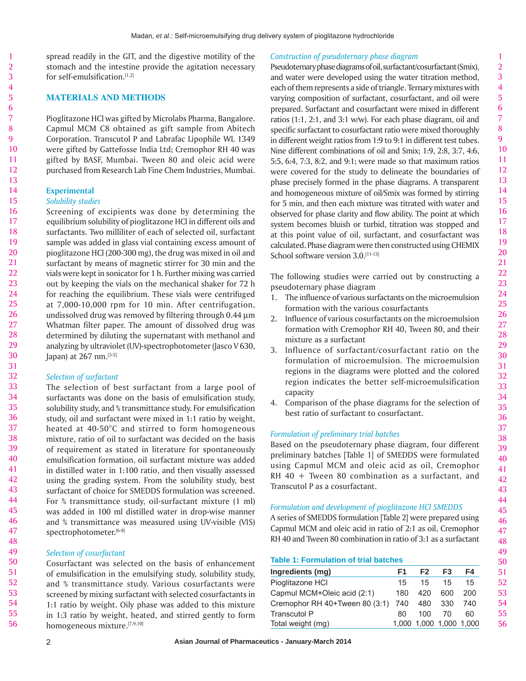spread readily in the GIT, and the digestive motility of the stomach and the intestine provide the agitation necessary for self-emulsification. $[1,2]$ 

## **MATERIALS AND METHODS**

Pioglitazone HCl was gifted by Microlabs Pharma, Bangalore. Capmul MCM C8 obtained as gift sample from Abitech Corporation. Transcutol P and Labrafac Lipophile WL 1349 were gifted by Gattefosse India Ltd; Cremophor RH 40 was gifted by BASF, Mumbai. Tween 80 and oleic acid were purchased from Research Lab Fine Chem Industries, Mumbai.

## **Experimental**

## *Solubility studies*

Screening of excipients was done by determining the equilibrium solubility of pioglitazone HCl in different oils and surfactants. Two milliliter of each of selected oil, surfactant sample was added in glass vial containing excess amount of pioglitazone HCl (200-300 mg), the drug was mixed in oil and surfactant by means of magnetic stirrer for 30 min and the vials were kept in sonicator for 1 h. Further mixing was carried out by keeping the vials on the mechanical shaker for 72 h for reaching the equilibrium. These vials were centrifuged at 7,000-10,000 rpm for 10 min. After centrifugation, undissolved drug was removed by filtering through 0.44 μm Whatman filter paper. The amount of dissolved drug was determined by diluting the supernatant with methanol and analyzing by ultraviolet (UV)-spectrophotometer (Jasco V 630, Japan) at 267 nm. $[3-5]$ 

## *Selection of surfactant*

The selection of best surfactant from a large pool of surfactants was done on the basis of emulsification study, solubility study, and % transmittance study. For emulsification study, oil and surfactant were mixed in 1:1 ratio by weight, heated at 40-50°C and stirred to form homogeneous mixture, ratio of oil to surfactant was decided on the basis of requirement as stated in literature for spontaneously emulsification formation, oil surfactant mixture was added in distilled water in 1:100 ratio, and then visually assessed using the grading system. From the solubility study, best surfactant of choice for SMEDDS formulation was screened. For % transmittance study, oil-surfactant mixture (1 ml) was added in 100 ml distilled water in drop-wise manner and % transmittance was measured using UV-visible (VIS) spectrophotometer.[6-8]

## *Selection of cosurfactant*

52 53 54 Cosurfactant was selected on the basis of enhancement of emulsification in the emulsifying study, solubility study, and % transmittance study. Various cosurfactants were screened by mixing surfactant with selected cosurfactants in 1:1 ratio by weight. Oily phase was added to this mixture in 1:3 ratio by weight, heated, and stirred gently to form homogeneous mixture.[7,9,10]

## *Construction of pseudoternary phase diagram*

Pseudoternary phase diagrams of oil, surfactant/cosurfactant (Smix), and water were developed using the water titration method, each of them represents a side of triangle. Ternary mixtures with varying composition of surfactant, cosurfactant, and oil were prepared. Surfactant and cosurfactant were mixed in different ratios (1:1, 2:1, and 3:1 w/w). For each phase diagram, oil and specific surfactant to cosurfactant ratio were mixed thoroughly in different weight ratios from 1:9 to 9:1 in different test tubes. Nine different combinations of oil and Smix; 1:9, 2:8, 3:7, 4:6, 5:5, 6:4, 7:3, 8:2, and 9:1; were made so that maximum ratios were covered for the study to delineate the boundaries of phase precisely formed in the phase diagrams. A transparent and homogeneous mixture of oil/Smix was formed by stirring for 5 min, and then each mixture was titrated with water and observed for phase clarity and flow ability. The point at which system becomes bluish or turbid, titration was stopped and at this point value of oil, surfactant, and cosurfactant was calculated. Phase diagram were then constructed using CHEMIX School software version 3.0.[11-13]

The following studies were carried out by constructing a pseudoternary phase diagram

- 1. The influence of various surfactants on the microemulsion formation with the various cosurfactants
- 2. Influence of various cosurfactants on the microemulsion formation with Cremophor RH 40, Tween 80, and their mixture as a surfactant
- 3. Influence of surfactant/cosurfactant ratio on the formulation of microemulsion. The microemulsion regions in the diagrams were plotted and the colored region indicates the better self-microemulsification capacity
- 4. Comparison of the phase diagrams for the selection of best ratio of surfactant to cosurfactant.

# *Formulation of preliminary trial batches*

Based on the pseudoternary phase diagram, four different preliminary batches [Table 1] of SMEDDS were formulated using Capmul MCM and oleic acid as oil, Cremophor RH 40 + Tween 80 combination as a surfactant, and Transcutol P as a cosurfactant.

## *Formulation and development of pioglitazone HCl SMEDDS*

A series of SMEDDS formulation [Table 2] were prepared using Capmul MCM and oleic acid in ratio of 2:1 as oil, Cremophor RH 40 and Tween 80 combination in ratio of 3:1 as a surfactant

## **Table 1: Formulation of trial batches**

| Ingredients (mg)                       | F1.  | F2. | F <sub>3</sub>          | F4    |
|----------------------------------------|------|-----|-------------------------|-------|
| Pioglitazone HCI                       | 15   | 15  | 15                      | 15    |
| Capmul MCM+Oleic acid (2:1)            | 180. | 420 | 600                     | 200   |
| Cremophor RH 40+Tween 80 (3:1) 740 480 |      |     | - 330                   | - 740 |
| <b>Transcutol P</b>                    | 80.  | 100 | 70                      | 60    |
| Total weight (mg)                      |      |     | 1,000 1,000 1,000 1,000 |       |

1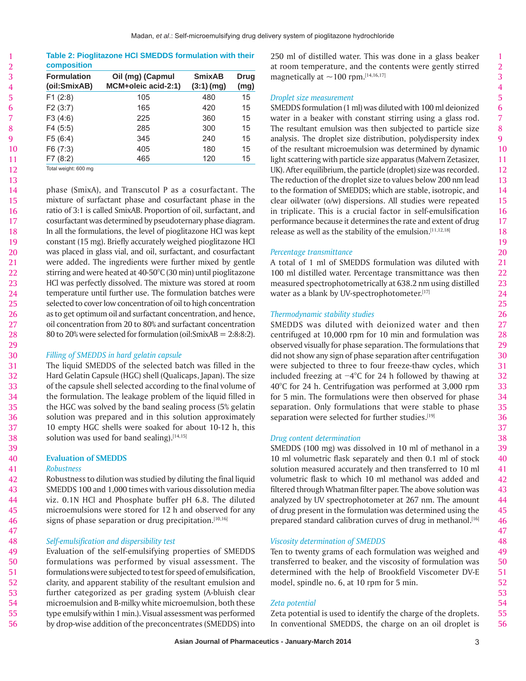| <b>Formulation</b><br>(oil:SmixAB) | Oil (mg) (Capmul<br>MCM+oleic acid-2:1) | <b>SmixAB</b><br>$(3:1)$ (mg) | <b>Drug</b><br>(mg) |
|------------------------------------|-----------------------------------------|-------------------------------|---------------------|
| F1(2:8)                            | 105                                     | 480                           | 15                  |
| F2(3:7)                            | 165                                     | 420                           | 15                  |
| F3(4:6)                            | 225                                     | 360                           | 15                  |
| F4(5:5)                            | 285                                     | 300                           | 15                  |
| F5(6:4)                            | 345                                     | 240                           | 15                  |
| F6 (7:3)                           | 405                                     | 180                           | 15                  |
| F7 (8:2)                           | 465                                     | 120                           | 15                  |

<sup>6</sup> 7 8 9 10 11 12 13 14 15 16 17 18 19 20 21 22 23 24 25 26 27 28

Total weight: 600 mg

phase (SmixA), and Transcutol P as a cosurfactant. The mixture of surfactant phase and cosurfactant phase in the ratio of 3:1 is called SmixAB. Proportion of oil, surfactant, and cosurfactant was determined by pseudoternary phase diagram. In all the formulations, the level of pioglitazone HCl was kept constant (15 mg). Briefly accurately weighed pioglitazone HCl was placed in glass vial, and oil, surfactant, and cosurfactant were added. The ingredients were further mixed by gentle stirring and were heated at 40-50°C (30 min) until pioglitazone HCl was perfectly dissolved. The mixture was stored at room temperature until further use. The formulation batches were selected to cover low concentration of oil to high concentration as to get optimum oil and surfactant concentration, and hence, oil concentration from 20 to 80% and surfactant concentration 80 to 20% were selected for formulation (oil:SmixAB = 2:8:8:2).

#### *Filling of SMEDDS in hard gelatin capsule*

The liquid SMEDDS of the selected batch was filled in the Hard Gelatin Capsule (HGC) shell (Qualicaps, Japan). The size of the capsule shell selected according to the final volume of the formulation. The leakage problem of the liquid filled in the HGC was solved by the band sealing process (5% gelatin solution was prepared and in this solution approximately 10 empty HGC shells were soaked for about 10-12 h, this solution was used for band sealing). $[14,15]$ 

#### **Evaluation of SMEDDS**

#### *Robustness*

Robustness to dilution was studied by diluting the final liquid SMEDDS 100 and 1,000 times with various dissolution media viz. 0.1N HCl and Phosphate buffer pH 6.8. The diluted microemulsions were stored for 12 h and observed for any signs of phase separation or drug precipitation.<sup>[10,16]</sup>

#### *Self-emulsification and dispersibility test*

49 50 51 52 53 54 55 56 Evaluation of the self-emulsifying properties of SMEDDS formulations was performed by visual assessment. The formulations were subjected to test for speed of emulsification, clarity, and apparent stability of the resultant emulsion and further categorized as per grading system (A-bluish clear microemulsion and B-milky white microemulsion, both these type emulsify within 1 min.). Visual assessment was performed by drop-wise addition of the preconcentrates (SMEDDS) into 250 ml of distilled water. This was done in a glass beaker at room temperature, and the contents were gently stirred magnetically at  $\sim$ 100 rpm. [14,16,17]

#### *Droplet size measurement*

SMEDDS formulation (1 ml) was diluted with 100 ml deionized water in a beaker with constant stirring using a glass rod. The resultant emulsion was then subjected to particle size analysis. The droplet size distribution, polydispersity index of the resultant microemulsion was determined by dynamic light scattering with particle size apparatus (Malvern Zetasizer, UK). After equilibrium, the particle (droplet) size was recorded. The reduction of the droplet size to values below 200 nm lead to the formation of SMEDDS; which are stable, isotropic, and clear oil/water (o/w) dispersions. All studies were repeated in triplicate. This is a crucial factor in self-emulsification performance because it determines the rate and extent of drug release as well as the stability of the emulsion. $[11,12,18]$ 

#### *Percentage transmittance*

A total of 1 ml of SMEDDS formulation was diluted with 100 ml distilled water. Percentage transmittance was then measured spectrophotometrically at 638.2 nm using distilled water as a blank by UV-spectrophotometer.[17]

#### *Thermodynamic stability studies*

SMEDDS was diluted with deionized water and then centrifuged at 10,000 rpm for 10 min and formulation was observed visually for phase separation. The formulations that did not show any sign of phase separation after centrifugation were subjected to three to four freeze-thaw cycles, which included freezing at −4°C for 24 h followed by thawing at 40°C for 24 h. Centrifugation was performed at 3,000 rpm for 5 min. The formulations were then observed for phase separation. Only formulations that were stable to phase separation were selected for further studies.<sup>[19]</sup>

#### *Drug content determination*

SMEDDS (100 mg) was dissolved in 10 ml of methanol in a 10 ml volumetric flask separately and then 0.1 ml of stock solution measured accurately and then transferred to 10 ml volumetric flask to which 10 ml methanol was added and filtered through Whatman filter paper. The above solution was analyzed by UV spectrophotometer at 267 nm. The amount of drug present in the formulation was determined using the prepared standard calibration curves of drug in methanol.<sup>[16]</sup>

#### *Viscosity determination of SMEDDS*

Ten to twenty grams of each formulation was weighed and transferred to beaker, and the viscosity of formulation was determined with the help of Brookfield Viscometer DV-E model, spindle no. 6, at 10 rpm for 5 min.

#### *Zeta potential*

Zeta potential is used to identify the charge of the droplets. In conventional SMEDDS, the charge on an oil droplet is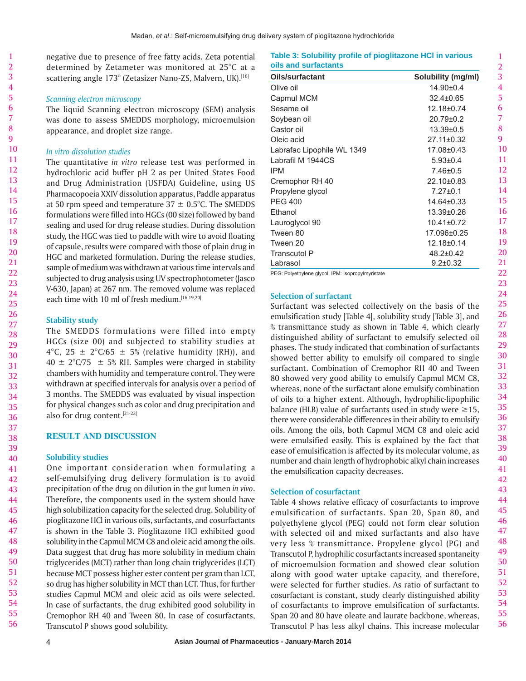negative due to presence of free fatty acids. Zeta potential determined by Zetameter was monitored at 25°C at a scattering angle 173° (Zetasizer Nano-ZS, Malvern, UK).<sup>[16]</sup>

#### *Scanning electron microscopy*

The liquid Scanning electron microscopy (SEM) analysis was done to assess SMEDDS morphology, microemulsion appearance, and droplet size range.

#### *In vitro dissolution studies*

The quantitative *in vitro* release test was performed in hydrochloric acid buffer pH 2 as per United States Food and Drug Administration (USFDA) Guideline, using US Pharmacopoeia XXIV dissolution apparatus, Paddle apparatus at 50 rpm speed and temperature  $37 \pm 0.5^{\circ}$ C. The SMEDDS formulations were filled into HGCs (00 size) followed by band sealing and used for drug release studies. During dissolution study, the HGC was tied to paddle with wire to avoid floating of capsule, results were compared with those of plain drug in HGC and marketed formulation. During the release studies, sample of medium was withdrawn at various time intervals and subjected to drug analysis using UV spectrophotometer (Jasco V-630, Japan) at 267 nm. The removed volume was replaced each time with 10 ml of fresh medium.[16,19,20]

#### **Stability study**

The SMEDDS formulations were filled into empty HGCs (size 00) and subjected to stability studies at 4°C, 25  $\pm$  2°C/65  $\pm$  5% (relative humidity (RH)), and  $40 \pm 2^{\circ}$ C/75  $\pm$  5% RH. Samples were charged in stability chambers with humidity and temperature control. They were withdrawn at specified intervals for analysis over a period of 3 months. The SMEDDS was evaluated by visual inspection for physical changes such as color and drug precipitation and also for drug content.**[**21-23]

#### **RESULT AND DISCUSSION**

#### **Solubility studies**

One important consideration when formulating a self-emulsifying drug delivery formulation is to avoid precipitation of the drug on dilution in the gut lumen *in vivo*. Therefore, the components used in the system should have high solubilization capacity for the selected drug. Solubility of pioglitazone HCl in various oils, surfactants, and cosurfactants is shown in the Table 3. Pioglitazone HCl exhibited good solubility in the Capmul MCM C8 and oleic acid among the oils. Data suggest that drug has more solubility in medium chain triglycerides (MCT) rather than long chain triglycerides (LCT) because MCT possess higher ester content per gram than LCT, so drug has higher solubility in MCT than LCT. Thus, for further studies Capmul MCM and oleic acid as oils were selected. In case of surfactants, the drug exhibited good solubility in Cremophor RH 40 and Tween 80. In case of cosurfactants, Transcutol P shows good solubility.

| oils and surfactants       |                    | 2  |
|----------------------------|--------------------|----|
| Oils/surfactant            | Solubility (mg/ml) | 3  |
| Olive oil                  | 14.90±0.4          | 4  |
| Capmul MCM                 | $32.4 \pm 0.65$    | 5  |
| Sesame oil                 | 12.18±0.74         | 6  |
| Soybean oil                | $20.79 \pm 0.2$    | 7  |
| Castor oil                 | 13.39±0.5          | 8  |
| Oleic acid                 | 27.11±0.32         | 9  |
| Labrafac Lipophile WL 1349 | 17.08±0.43         | 10 |
| Labrafil M 1944CS          | $5.93 \pm 0.4$     | 11 |
| <b>IPM</b>                 | $7.46 \pm 0.5$     | 12 |
| Cremophor RH 40            | 22.10±0.83         | 13 |
| Propylene glycol           | $7.27 \pm 0.1$     | 14 |
| <b>PEG 400</b>             | $14.64 \pm 0.33$   | 15 |
| Ethanol                    | 13.39±0.26         | 16 |
| Lauroglycol 90             | $10.41 \pm 0.72$   | 17 |
| Tween 80                   | 17.096±0.25        | 18 |
| Tween 20                   | 12.18±0.14         | 19 |
| <b>Transcutol P</b>        | 48.2±0.42          | 20 |
| Labrasol                   | $9.2 \pm 0.32$     | 21 |

**Table 3: Solubility profile of pioglitazone HCl in various** 

1

PEG: Polyethylene glycol, IPM: Isopropylmyristate

#### **Selection of surfactant**

Surfactant was selected collectively on the basis of the emulsification study [Table 4], solubility study [Table 3], and % transmittance study as shown in Table 4, which clearly distinguished ability of surfactant to emulsify selected oil phases. The study indicated that combination of surfactants showed better ability to emulsify oil compared to single surfactant. Combination of Cremophor RH 40 and Tween 80 showed very good ability to emulsify Capmul MCM C8, whereas, none of the surfactant alone emulsify combination of oils to a higher extent. Although, hydrophilic-lipophilic balance (HLB) value of surfactants used in study were  $\geq 15$ , there were considerable differences in their ability to emulsify oils. Among the oils, both Capmul MCM C8 and oleic acid were emulsified easily. This is explained by the fact that ease of emulsification is affected by its molecular volume, as number and chain length of hydrophobic alkyl chain increases the emulsification capacity decreases.

#### **Selection of cosurfactant**

Table 4 shows relative efficacy of cosurfactants to improve emulsification of surfactants. Span 20, Span 80, and polyethylene glycol (PEG) could not form clear solution with selected oil and mixed surfactants and also have very less % transmittance. Propylene glycol (PG) and Transcutol P, hydrophilic cosurfactants increased spontaneity of microemulsion formation and showed clear solution along with good water uptake capacity, and therefore, were selected for further studies. As ratio of surfactant to cosurfactant is constant, study clearly distinguished ability of cosurfactants to improve emulsification of surfactants. Span 20 and 80 have oleate and laurate backbone, whereas, Transcutol P has less alkyl chains. This increase molecular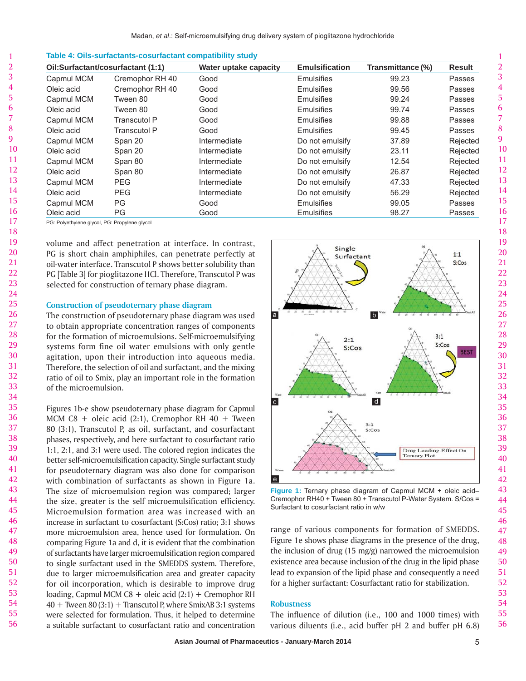|    | Table 4: Oils-surfactants-cosurfactant compatibility study |                 |                       |                       |                   |          |  |  |
|----|------------------------------------------------------------|-----------------|-----------------------|-----------------------|-------------------|----------|--|--|
| 2  | Oil:Surfactant/cosurfactant (1:1)                          |                 | Water uptake capacity | <b>Emulsification</b> | Transmittance (%) | Result   |  |  |
| 3  | Capmul MCM                                                 | Cremophor RH 40 | Good                  | <b>Emulsifies</b>     | 99.23             | Passes   |  |  |
| 4  | Oleic acid                                                 | Cremophor RH 40 | Good                  | Emulsifies            | 99.56             | Passes   |  |  |
| 5  | Capmul MCM                                                 | Tween 80        | Good                  | <b>Emulsifies</b>     | 99.24             | Passes   |  |  |
| 6  | Oleic acid                                                 | Tween 80        | Good                  | <b>Emulsifies</b>     | 99.74             | Passes   |  |  |
|    | Capmul MCM                                                 | Transcutol P    | Good                  | <b>Emulsifies</b>     | 99.88             | Passes   |  |  |
| 8  | Oleic acid                                                 | Transcutol P    | Good                  | <b>Emulsifies</b>     | 99.45             | Passes   |  |  |
| 9  | Capmul MCM                                                 | Span 20         | Intermediate          | Do not emulsify       | 37.89             | Rejected |  |  |
| 10 | Oleic acid                                                 | Span 20         | Intermediate          | Do not emulsify       | 23.11             | Rejected |  |  |
| 11 | Capmul MCM                                                 | Span 80         | Intermediate          | Do not emulsify       | 12.54             | Rejected |  |  |
| 12 | Oleic acid                                                 | Span 80         | Intermediate          | Do not emulsify       | 26.87             | Rejected |  |  |
| 13 | Capmul MCM                                                 | <b>PEG</b>      | Intermediate          | Do not emulsify       | 47.33             | Rejected |  |  |
| 14 | Oleic acid                                                 | <b>PEG</b>      | Intermediate          | Do not emulsify       | 56.29             | Rejected |  |  |
| 15 | Capmul MCM                                                 | PG              | Good                  | <b>Emulsifies</b>     | 99.05             | Passes   |  |  |
| 16 | Oleic acid                                                 | PG              | Good                  | <b>Emulsifies</b>     | 98.27             | Passes   |  |  |
| 17 | PG: Polyethylene glycol, PG: Propylene glycol              |                 |                       |                       |                   |          |  |  |

PG: Polyethylene glycol, PG: Propylene glyco

volume and affect penetration at interface. In contrast, PG is short chain amphiphiles, can penetrate perfectly at oil-water interface. Transcutol P shows better solubility than PG [Table 3] for pioglitazone HCl. Therefore, Transcutol P was selected for construction of ternary phase diagram.

#### **Construction of pseudoternary phase diagram**

The construction of pseudoternary phase diagram was used to obtain appropriate concentration ranges of components for the formation of microemulsions. Self-microemulsifying systems form fine oil water emulsions with only gentle agitation, upon their introduction into aqueous media. Therefore, the selection of oil and surfactant, and the mixing ratio of oil to Smix, play an important role in the formation of the microemulsion.

Figures 1b-e show pseudoternary phase diagram for Capmul MCM C8 + oleic acid  $(2:1)$ , Cremophor RH 40 + Tween 80 (3:1), Transcutol P, as oil, surfactant, and cosurfactant phases, respectively, and here surfactant to cosurfactant ratio 1:1, 2:1, and 3:1 were used. The colored region indicates the better self-microemulsification capacity. Single surfactant study for pseudoternary diagram was also done for comparison with combination of surfactants as shown in Figure 1a. The size of microemulsion region was compared; larger the size, greater is the self microemulsification efficiency. Microemulsion formation area was increased with an increase in surfactant to cosurfactant (S:Cos) ratio; 3:1 shows more microemulsion area, hence used for formulation. On comparing Figure 1a and d, it is evident that the combination of surfactants have larger microemulsification region compared to single surfactant used in the SMEDDS system. Therefore, due to larger microemulsification area and greater capacity for oil incorporation, which is desirable to improve drug loading, Capmul MCM  $C8$  + oleic acid  $(2:1)$  + Cremophor RH 40 + Tween 80 (3:1) + Transcutol P, where SmixAB 3:1 systems were selected for formulation. Thus, it helped to determine a suitable surfactant to cosurfactant ratio and concentration



**Figure 1:** Ternary phase diagram of Capmul MCM + oleic acid– Cremophor RH40 + Tween 80 + Transcutol P-Water System. S/Cos = Surfactant to cosurfactant ratio in w/w

range of various components for formation of SMEDDS. Figure 1e shows phase diagrams in the presence of the drug, the inclusion of drug (15 mg/g) narrowed the microemulsion existence area because inclusion of the drug in the lipid phase lead to expansion of the lipid phase and consequently a need for a higher surfactant: Cosurfactant ratio for stabilization.

#### **Robustness**

The influence of dilution (i.e., 100 and 1000 times) with various diluents (i.e., acid buffer pH 2 and buffer pH 6.8)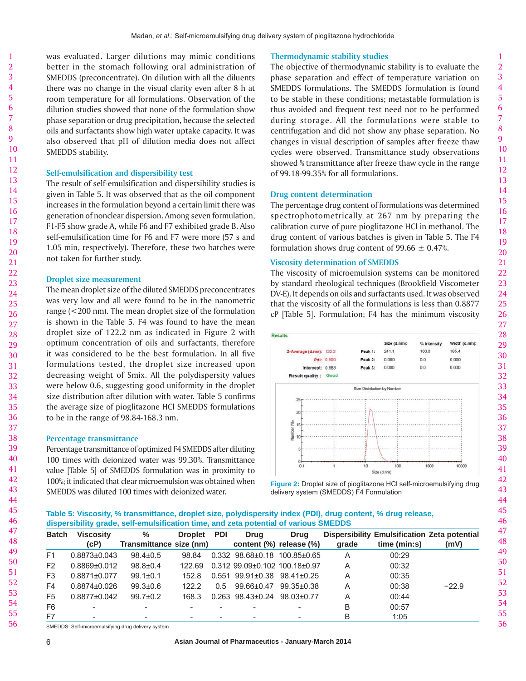was evaluated. Larger dilutions may mimic conditions better in the stomach following oral administration of SMEDDS (preconcentrate). On dilution with all the diluents there was no change in the visual clarity even after 8 h at room temperature for all formulations. Observation of the dilution studies showed that none of the formulation show phase separation or drug precipitation, because the selected oils and surfactants show high water uptake capacity. It was also observed that pH of dilution media does not affect SMEDDS stability.

#### **Self-emulsification and dispersibility test**

The result of self-emulsification and dispersibility studies is given in Table 5. It was observed that as the oil component increases in the formulation beyond a certain limit there was generation of nonclear dispersion. Among seven formulation, F1-F5 show grade A, while F6 and F7 exhibited grade B. Also self-emulsification time for F6 and F7 were more (57 s and 1.05 min, respectively). Therefore, these two batches were not taken for further study.

#### **Droplet size measurement**

The mean droplet size of the diluted SMEDDS preconcentrates was very low and all were found to be in the nanometric range (<200 nm). The mean droplet size of the formulation is shown in the Table 5. F4 was found to have the mean droplet size of 122.2 nm as indicated in Figure 2 with optimum concentration of oils and surfactants, therefore it was considered to be the best formulation. In all five formulations tested, the droplet size increased upon decreasing weight of Smix. All the polydispersity values were below 0.6, suggesting good uniformity in the droplet size distribution after dilution with water. Table 5 confirms the average size of pioglitazone HCl SMEDDS formulations to be in the range of 98.84-168.3 nm.

#### **Percentage transmittance**

Percentage transmittance of optimized F4 SMEDDS after diluting 100 times with deionized water was 99.30%. Transmittance value [Table 5] of SMEDDS formulation was in proximity to 100%; it indicated that clear microemulsion was obtained when SMEDDS was diluted 100 times with deionized water.

#### **Thermodynamic stability studies**

The objective of thermodynamic stability is to evaluate the phase separation and effect of temperature variation on SMEDDS formulations. The SMEDDS formulation is found to be stable in these conditions; metastable formulation is thus avoided and frequent test need not to be performed during storage. All the formulations were stable to centrifugation and did not show any phase separation. No changes in visual description of samples after freeze thaw cycles were observed. Transmittance study observations showed % transmittance after freeze thaw cycle in the range of 99.18-99.35% for all formulations.

#### **Drug content determination**

The percentage drug content of formulations was determined spectrophotometrically at 267 nm by preparing the calibration curve of pure pioglitazone HCl in methanol. The drug content of various batches is given in Table 5. The F4 formulation shows drug content of 99.66  $\pm$  0.47%.

#### **Viscosity determination of SMEDDS**

The viscosity of microemulsion systems can be monitored by standard rheological techniques (Brookfield Viscometer DV-E). It depends on oils and surfactants used. It was observed that the viscosity of all the formulations is less than 0.8877 cP [Table 5]. Formulation; F4 has the minimum viscosity





#### **Table 5: Viscosity, % transmittance, droplet size, polydispersity index (PDI), drug content, % drug release, dispersibility grade, self-emulsifi cation time, and zeta potential of various SMEDDS**

| <b>Batch</b>   | <b>Viscosity</b><br>(CP) | %<br>Transmittance size (nm) | Droplet PDI | Drua<br>content $(\%)$ release $(\%)$   | Drug                     | grade | Dispersibility Emulsification Zeta potential<br>time (min:s) | (mV)    |
|----------------|--------------------------|------------------------------|-------------|-----------------------------------------|--------------------------|-------|--------------------------------------------------------------|---------|
| F1             | $0.8873\pm0.043$         | $98.4 \pm 0.5$               | 98.84       | 0.332 98.68±0.18 100.85±0.65            |                          | A     | 00:29                                                        |         |
| F <sub>2</sub> | $0.8869 \pm 0.012$       | $98.8 \pm 0.4$               | 122.69      | 0.312 99.09±0.102 100.18±0.97           |                          | A     | 00:32                                                        |         |
| F <sub>3</sub> | $0.8871\pm0.077$         | $99.1 \pm 0.1$               | 152.8       | $0.551$ 99.91±0.38 98.41±0.25           |                          | A     | 00:35                                                        |         |
| F4             | $0.8874\pm0.026$         | $99.3 \pm 0.6$               | 122.2       | $0.5$ 99.66 $\pm$ 0.47 99.35 $\pm$ 0.38 |                          | A     | 00:38                                                        | $-22.9$ |
| F5             | $0.8877 \pm 0.042$       | $99.7 \pm 0.2$               | 168.3       | $0.263$ 98.43±0.24 98.03±0.77           |                          | Α     | 00:44                                                        |         |
| F <sub>6</sub> | $\overline{\phantom{a}}$ |                              |             |                                         |                          | B     | 00:57                                                        |         |
| F7             | $\sim$                   |                              |             | $\overline{\phantom{0}}$                | $\overline{\phantom{a}}$ | B     | 1:05                                                         |         |

SMEDDS: Self-microemulsifying drug delivery system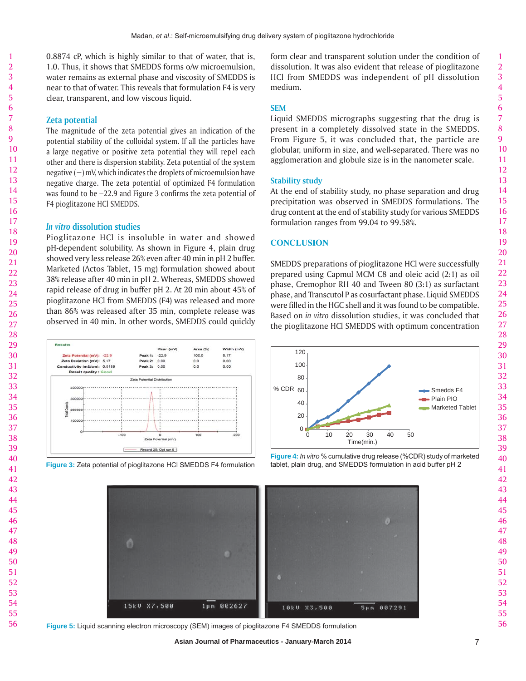0.8874 cP, which is highly similar to that of water, that is, 1.0. Thus, it shows that SMEDDS forms o/w microemulsion, water remains as external phase and viscosity of SMEDDS is near to that of water. This reveals that formulation F4 is very clear, transparent, and low viscous liquid.

# **Zeta potential**

The magnitude of the zeta potential gives an indication of the potential stability of the colloidal system. If all the particles have a large negative or positive zeta potential they will repel each other and there is dispersion stability. Zeta potential of the system negative (−) mV, which indicates the droplets of microemulsion have negative charge. The zeta potential of optimized F4 formulation was found to be −22.9 and Figure 3 confirms the zeta potential of F4 pioglitazone HCl SMEDDS.

## *In vitro* **dissolution studies**

Pioglitazone HCl is insoluble in water and showed pH-dependent solubility. As shown in Figure 4, plain drug showed very less release 26% even after 40 min in pH 2 buffer. Marketed (Actos Tablet, 15 mg) formulation showed about 38% release after 40 min in pH 2. Whereas, SMEDDS showed rapid release of drug in buffer pH 2. At 20 min about 45% of pioglitazone HCl from SMEDDS (F4) was released and more than 86% was released after 35 min, complete release was observed in 40 min. In other words, SMEDDS could quickly



15kV X7,500 1µm 002627 **5µm** 007291 10kV X3,500

**Figure 3:** Zeta potential of pioglitazone HCl SMEDDS F4 formulation

form clear and transparent solution under the condition of dissolution. It was also evident that release of pioglitazone HCl from SMEDDS was independent of pH dissolution medium.

## **SEM**

Liquid SMEDDS micrographs suggesting that the drug is present in a completely dissolved state in the SMEDDS. From Figure 5, it was concluded that, the particle are globular, uniform in size, and well-separated. There was no agglomeration and globule size is in the nanometer scale.

## **Stability study**

At the end of stability study, no phase separation and drug precipitation was observed in SMEDDS formulations. The drug content at the end of stability study for various SMEDDS formulation ranges from 99.04 to 99.58%.

# **CONCLUSION**

SMEDDS preparations of pioglitazone HCl were successfully prepared using Capmul MCM C8 and oleic acid (2:1) as oil phase, Cremophor RH 40 and Tween 80 (3:1) as surfactant phase, and Transcutol P as cosurfactant phase. Liquid SMEDDS were filled in the HGC shell and it was found to be compatible. Based on *in vitro* dissolution studies, it was concluded that the pioglitazone HCl SMEDDS with optimum concentration





**Figure 5:** Liquid scanning electron microscopy (SEM) images of pioglitazone F4 SMEDDS formulation